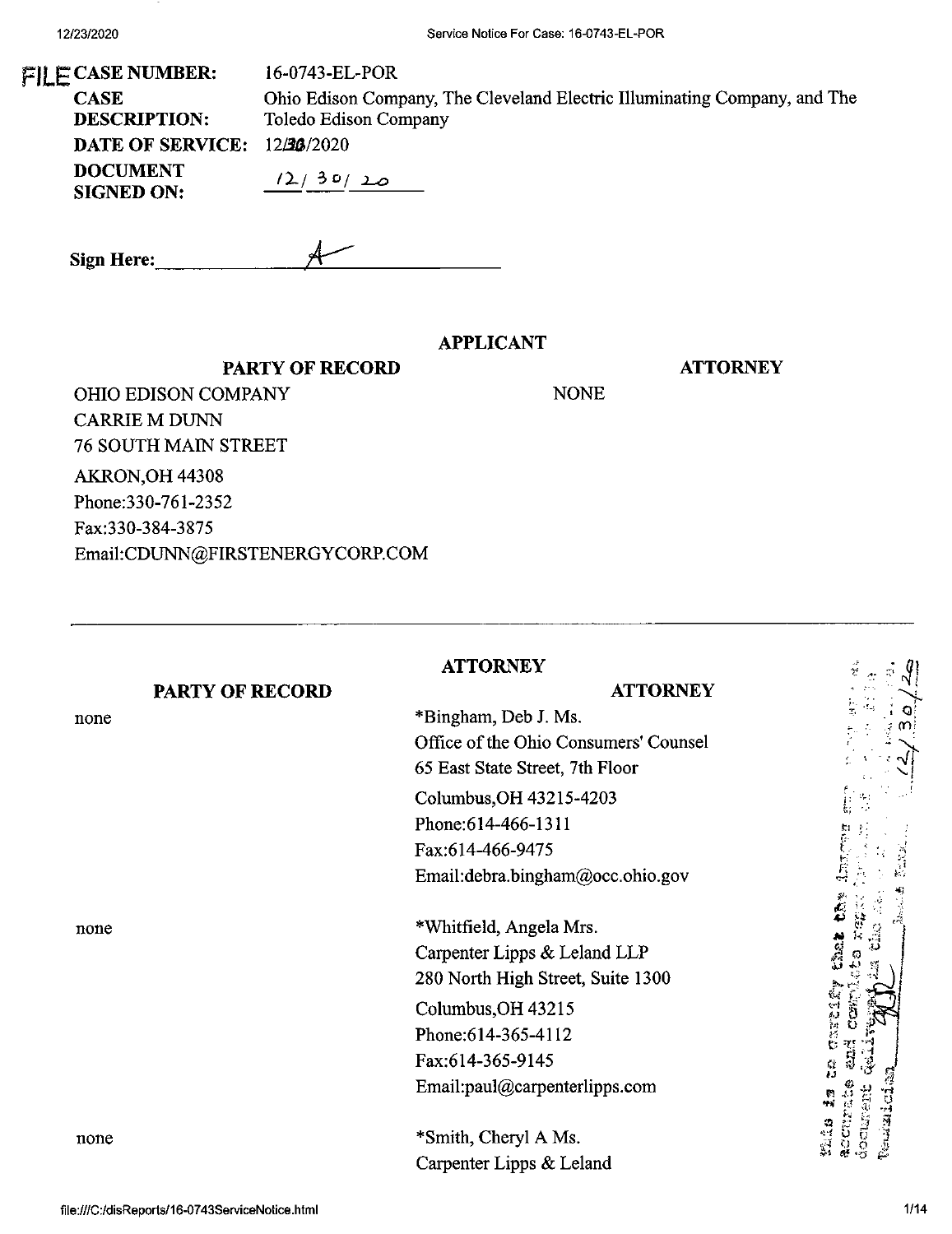**Sign Here:\_**

| $\mathbb{F}$ ]] E CASE NUMBER:       | 16-0743-EL-POR                                                                                     |
|--------------------------------------|----------------------------------------------------------------------------------------------------|
| <b>CASE</b><br><b>DESCRIPTION:</b>   | Ohio Edison Company, The Cleveland Electric Illuminating Company, and The<br>Toledo Edison Company |
| <b>DATE OF SERVICE: 12/36/2020</b>   |                                                                                                    |
| <b>DOCUMENT</b><br><b>SIGNED ON:</b> | (2/30/20)                                                                                          |
|                                      |                                                                                                    |

### **APPLICANT**

NONE

**ATTORNEY**

OHIO EDISON COMPANY CARRIE M DUNN 76 SOUTH MAIN STREET AKRON,OH 44308 Phone:330-761-2352 Fax:330-384-3875 Email:CDUNN@FIRSTENERGYCORP.COM

**PARTY OF RECORD**

 $\mathcal{A}$ 

|                        | <b>ATTORNEY</b>                                                                                                                                               | ्<br>ए |
|------------------------|---------------------------------------------------------------------------------------------------------------------------------------------------------------|--------|
| <b>PARTY OF RECORD</b> | <b>ATTORNEY</b>                                                                                                                                               |        |
| none                   | *Bingham, Deb J. Ms.                                                                                                                                          | ŗ,     |
|                        | Office of the Ohio Consumers' Counsel                                                                                                                         |        |
|                        | 65 East State Street, 7th Floor                                                                                                                               |        |
|                        | Columbus, OH 43215-4203                                                                                                                                       |        |
|                        | Phone: 614-466-1311                                                                                                                                           |        |
|                        | Fax:614-466-9475                                                                                                                                              |        |
|                        | Email:debra.bingham@occ.ohio.gov                                                                                                                              |        |
| none                   | *Whitfield, Angela Mrs.<br>Carpenter Lipps & Leland LLP<br>280 North High Street, Suite 1300<br>Columbus, OH 43215<br>Phone: 614-365-4112<br>Fax:614-365-9145 | Ż.     |
| none                   | Email:paul@carpenterlipps.com<br>*Smith, Cheryl A Ms.<br>Carpenter Lipps & Leland                                                                             | éocus  |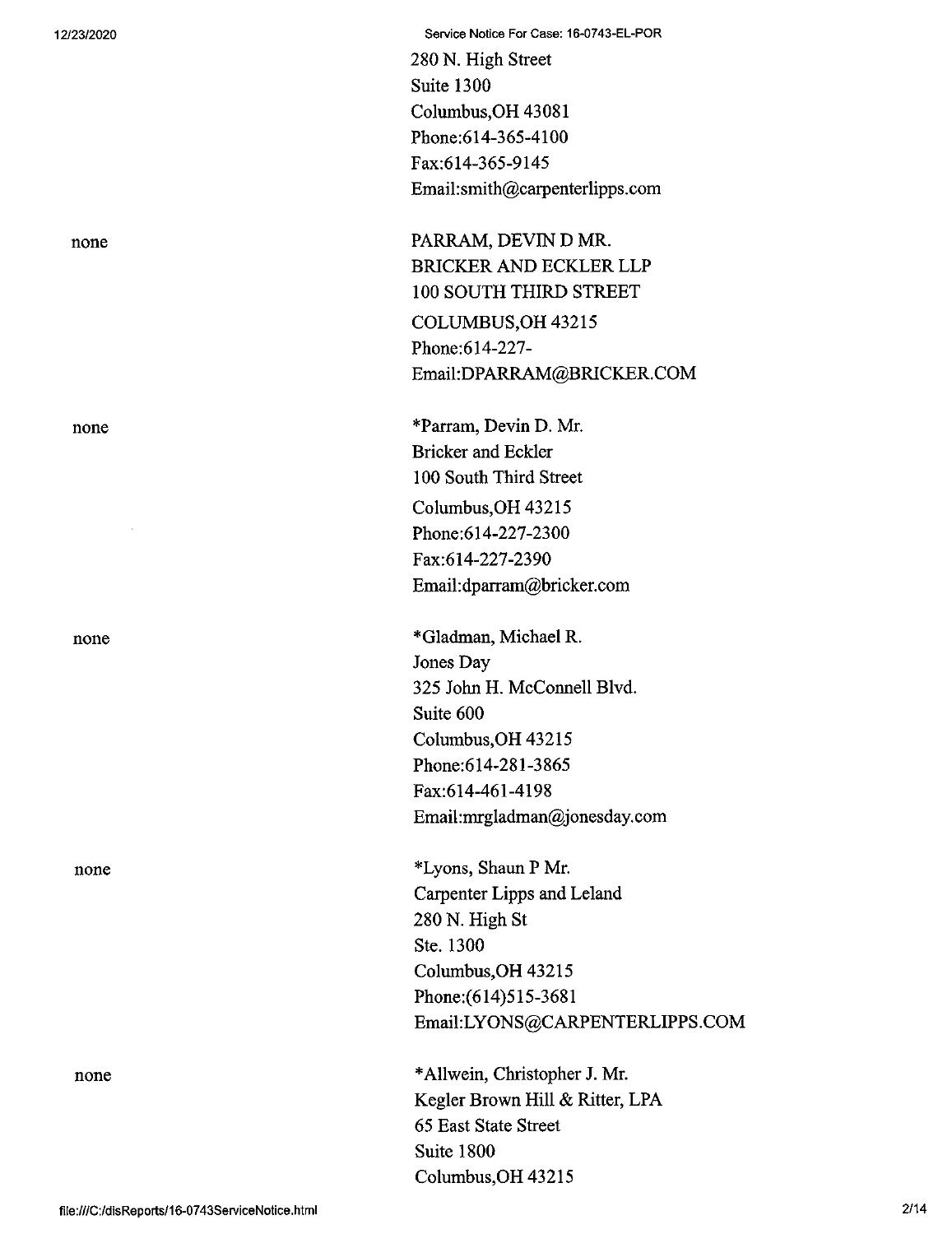12/23/2020 Service Notice For Case: 16-0743-EL-POR

280 N. High Street Suite 1300 Columbus,OH 43081 Phone:614-365-4100 Fax:614-365-9145 Email:smith@carpenterlipps.com

none PARRAM, DEVIN D MR. BRICKER AND ECKLER LLP 100 SOUTH THIRD STREET COLUMBUS,OH 43215 Phone:614-227- Email:DPARRAM@BRICKER.COM

none \*Parram, Devin D. Mr. Bricker and Eckler 100 South Third Street Columbus,OH 43215 Phone:614-227-2300 Fax:614-227-2390 Email:dparram@bricker.com

none \*Gladman, Michael R. Jones Day 325 John H. McConnell Blvd. Suite 600 Columbus,OH 43215 Phone:614-281-3865 Fax:614-461-4198 Email:mrgladman@jonesday.com

none \*Lyons, Shaun P Mr. Carpenter Lipps and Leland 280 N. High St Ste. 1300 Columbus,OH 43215 Phone:(614)515-3681 Email:LYONS@CARPENTERLIPPS.COM

none \*Allwein, Christopher J. Mr. Kegler Brown Hill & Ritter, LPA 65 East State Street Suite 1800 Columbus,OH 43215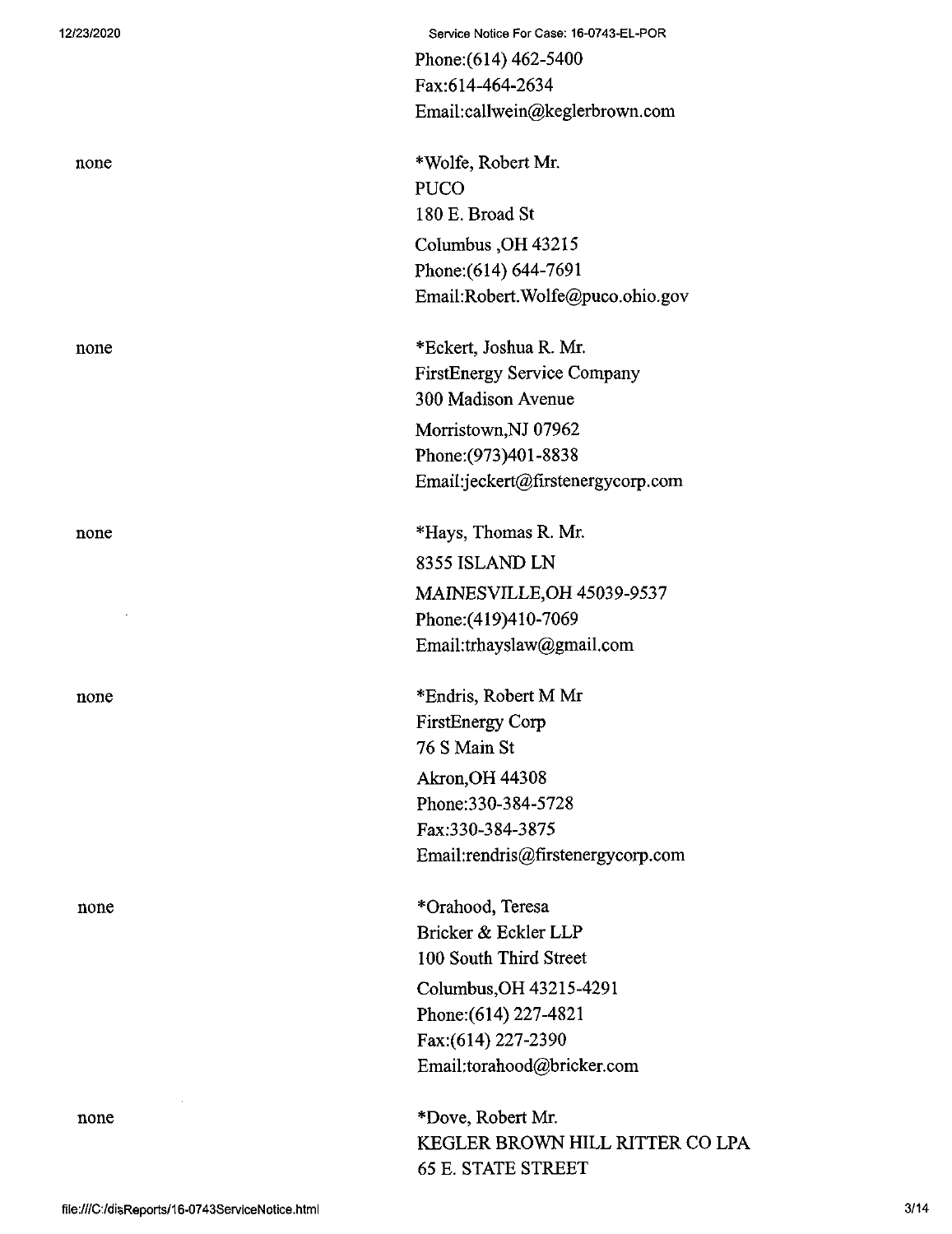| 12/23/2020 | Service Notice For Case: 16-0743-EL-POR |
|------------|-----------------------------------------|
|            | Phone: $(614)$ 462-5400                 |
|            | Fax:614-464-2634                        |
|            | Email:callwein@keglerbrown.com          |
| none       | *Wolfe, Robert Mr.                      |
|            | <b>PUCO</b>                             |
|            | 180 E. Broad St                         |
|            | Columbus, OH 43215                      |
|            | Phone: (614) 644-7691                   |
|            | Email:Robert.Wolfe@puco.ohio.gov        |
| none       | *Eckert, Joshua R. Mr.                  |
|            | <b>FirstEnergy Service Company</b>      |
|            | 300 Madison Avenue                      |
|            | Morristown, NJ 07962                    |
|            | Phone: (973) 401-8838                   |
|            | Email:jeckert@firstenergycorp.com       |
| none       | *Hays, Thomas R. Mr.                    |
|            | 8355 ISLAND LN                          |
|            | MAINESVILLE, OH 45039-9537              |
|            | Phone: (419) 410-7069                   |
|            | Email:trhayslaw@gmail.com               |
| none       | *Endris, Robert M Mr                    |
|            | <b>FirstEnergy Corp</b>                 |
|            | 76 S Main St                            |
|            | Akron, OH 44308                         |
|            | Phone: 330-384-5728                     |
|            | Fax:330-384-3875                        |
|            | Email:rendris@firstenergycorp.com       |
| none       | *Orahood, Teresa                        |
|            | Bricker & Eckler LLP                    |
|            | 100 South Third Street                  |
|            | Columbus, OH 43215-4291                 |
|            | Phone: (614) 227-4821                   |
|            | Fax: (614) 227-2390                     |
|            | Email:torahood@bricker.com              |
| none       | *Dove, Robert Mr.                       |

KEGLER BROWN HILL RITTER CO LPA

65 E. STATE STREET

file:///C:/disReports/16-0743ServiceNotice.html 3/14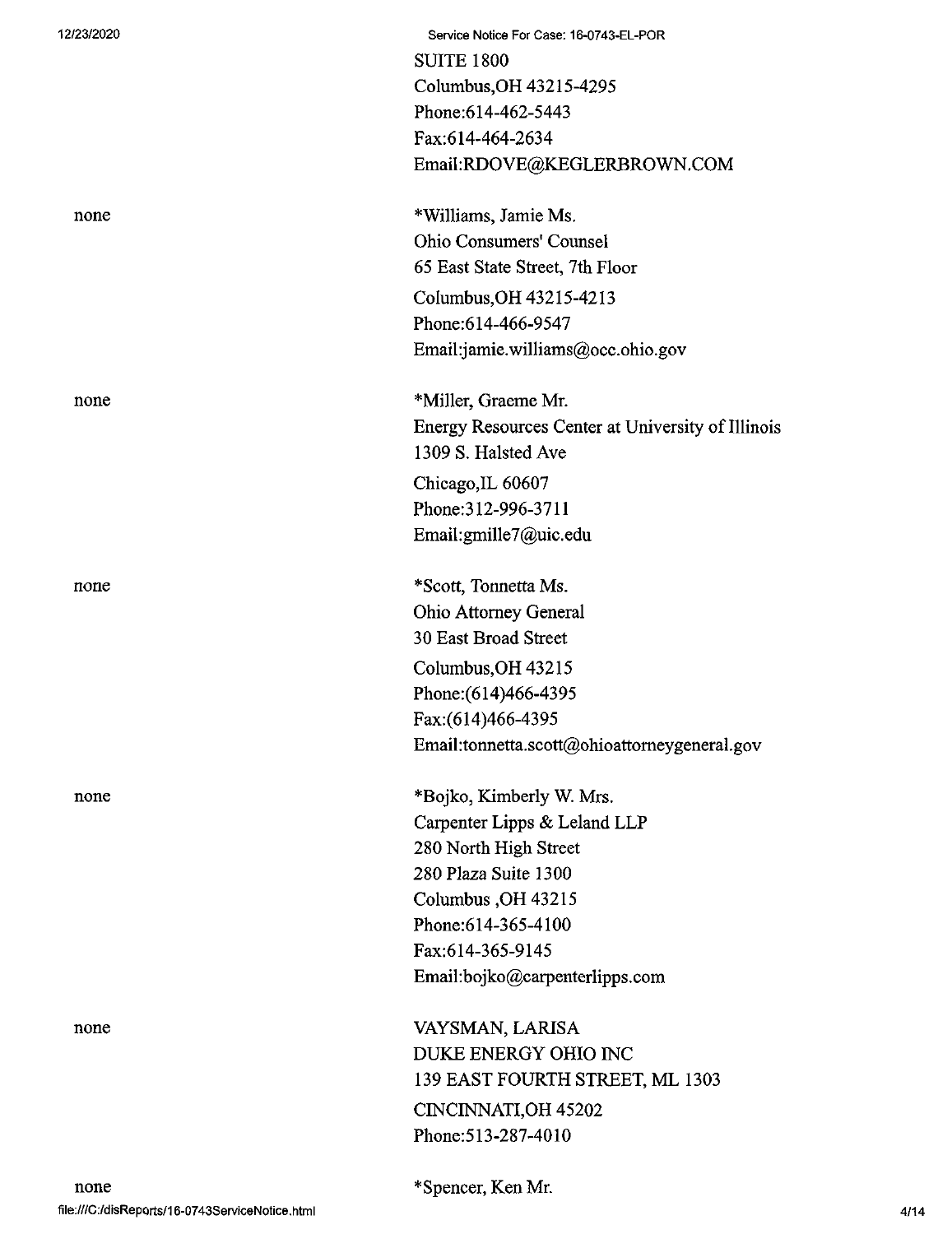| 12/23/2020 | Service Notice For Case: 16-0743-EL-POR<br><b>SUITE 1800</b><br>Columbus, OH 43215-4295<br>Phone:614-462-5443<br>Fax:614-464-2634<br>Email:RDOVE@KEGLERBROWN.COM                                             |
|------------|--------------------------------------------------------------------------------------------------------------------------------------------------------------------------------------------------------------|
| none       | *Williams, Jamie Ms.<br><b>Ohio Consumers' Counsel</b><br>65 East State Street, 7th Floor<br>Columbus, OH 43215-4213<br>Phone: 614-466-9547<br>Email:jamie.williams@occ.ohio.gov                             |
| none       | *Miller, Graeme Mr.<br>Energy Resources Center at University of Illinois<br>1309 S. Halsted Ave<br>Chicago, IL 60607<br>Phone: 312-996-3711<br>Email:gmille7@uic.edu                                         |
| none       | *Scott, Tonnetta Ms.<br><b>Ohio Attorney General</b><br>30 East Broad Street<br>Columbus, OH 43215<br>Phone: (614)466-4395<br>Fax:(614)466-4395<br>Email:tonnetta.scott@ohioattorneygeneral.gov              |
| none       | *Bojko, Kimberly W. Mrs.<br>Carpenter Lipps & Leland LLP<br>280 North High Street<br>280 Plaza Suite 1300<br>Columbus, OH 43215<br>Phone: 614-365-4100<br>Fax:614-365-9145<br>Email:bojko@carpenterlipps.com |
| none       | VAYSMAN, LARISA<br>DUKE ENERGY OHIO INC<br>139 EAST FOURTH STREET, ML 1303<br><b>CINCINNATI, OH 45202</b><br>Phone: 513-287-4010                                                                             |

\*Spencer, Ken Mr.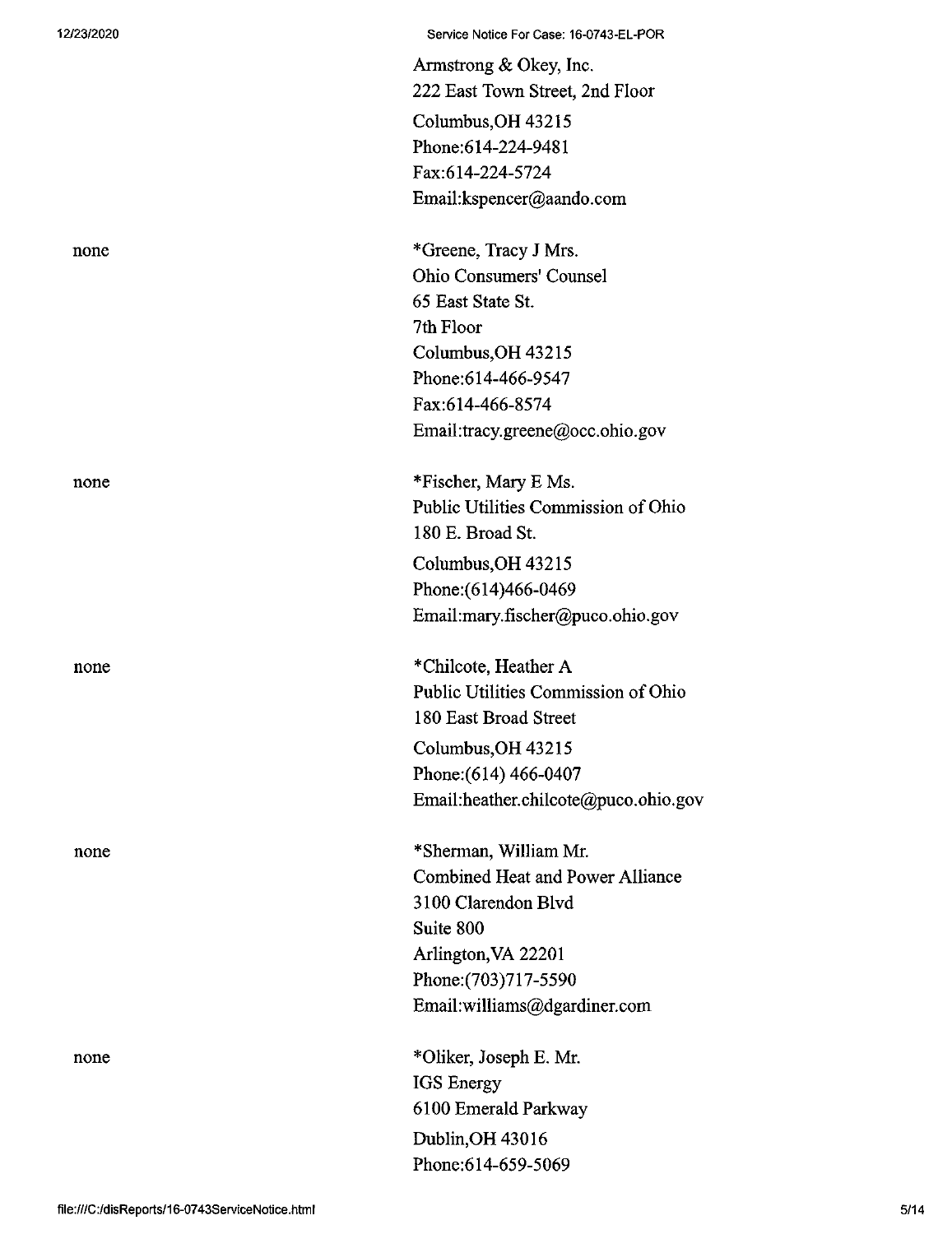none

12/23/2020 Service Notice For Case: 16-0743-EL-POR

Armstrong & Okey, Inc. 222 East Town Street, 2nd Floor Columbus,OH 43215 Phone:614-224-9481 Fax:614-224-5724 Email:kspencer@aando.com

none \*Greene, Tracy J Mrs. Ohio Consumers' Counsel 65 East State St. 7th Floor Columbus,OH 43215 Phone:614-466-9547 Fax:614-466-8574 Email:tracy.greene@occ.ohio.gov

none \*Fischer, Mary E Ms. Public Utilities Commission of Ohio 180 E. Broad St. Columbus,OH 43215 Phone:(614)466-0469 Email:mary.fischer@puco.ohio.gov

none \*Chilcote, Heather A Public Utilities Commission of Ohio 180 East Broad Street Columbus,OH 43215 Phone;(614) 466-0407

Email:heather.chilcote@puco.ohio.gov

\*Sherman, William Mr. Combined Heat and Power Alliance 3100 Clarendon Blvd Suite 800 Arlington,VA 22201 Phone:(703)717-5590 Email:williams@dgardiner.com

none \*01iker, Joseph E. Mr. IGS Energy 6100 Emerald Parkway Dublin,OH 43016 Phone:614-659-5069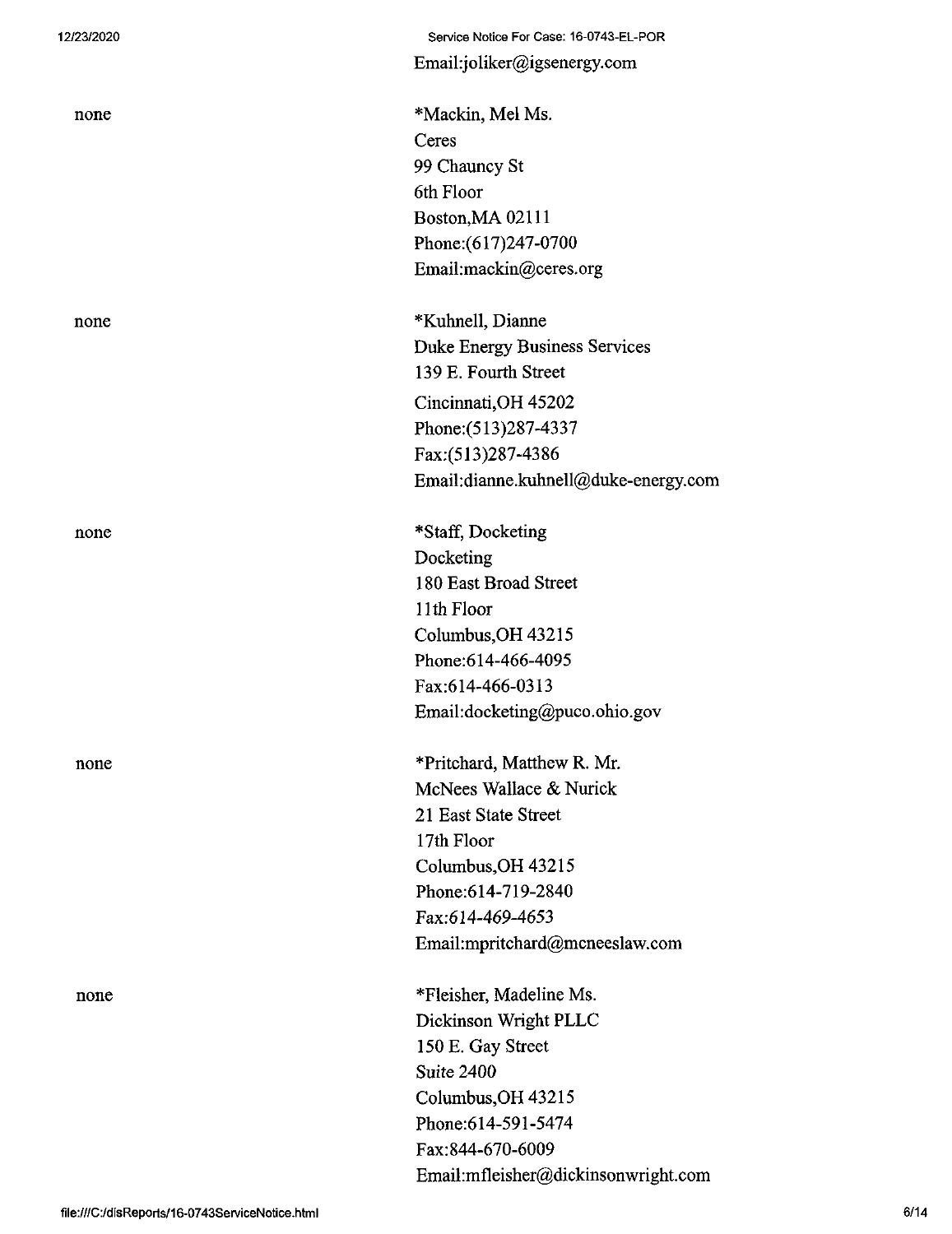12/23/2020 Service Notice For Case: 16-0743-EL-POR Email:joliker@igsenergy.com

none \*Mackin, Mel Ms. Ceres 99 Chauncy St 6th Floor Boston,MA 02111 Phone:(617)247-0700 Email:mackin@ceres.org

none \*Kuhnell, Dianne Duke Energy Business Services 139 E. Fourth Street Cincinnati,OH 45202 Phone:(513)287-4337 Fax:(513)287-4386 Email:dianne.kuhnell@duke-energy.com

none \*Staff, Docketing Docketing 180 East Broad Street 11th Floor Columbus,OH 43215 Phone:614-466-4095 Fax:614-466-0313 Email:docketing@puco.ohio.gov

none \*Pritchard, Matthew R. Mr. McNees Wallace & Nurick 21 East State Street 17th Floor Columbus,OH 43215 Phone:614-719-2840 Fax:614-469-4653 Email:mpritchard@mcneeslaw.com

none \*Fleisher, Madeline Ms. Dickinson Wright PLLC 150 E. Gay Street Suite 2400 Columbus,OH 43215 Phone:614-591-5474 Fax:844-670-6009 Email:mfleisher@dickinsonwright.coni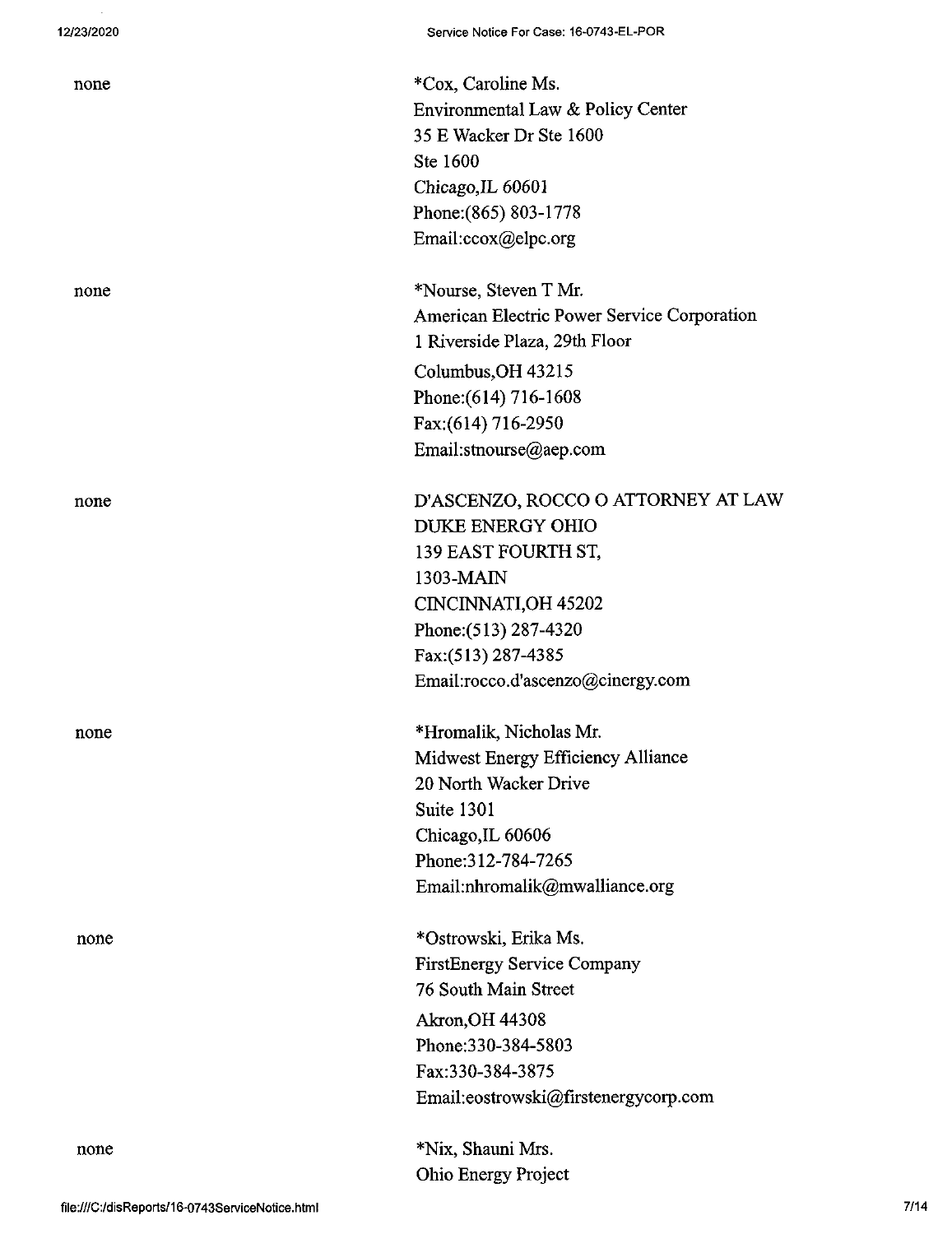none \*Cox, Caroline Ms. Environmental Law & Policy Center 35 E Wacker Dr Ste 1600 Ste 1600 Chicago,IL 60601 Phone:(865) 803-1778 Email:ccox@elpc.org

none \*Nourse, Steven T Mr. American Electric Power Service Corporation <sup>1</sup> Riverside Plaza, 29th Floor Columbus,OH 43215 Phone: (614) 716-1608 Fax:(614) 716-2950 Email:stnourse@aep.com

none D'ASCENZO, ROCCO O ATTORNEY AT LAW DUKE ENERGY OHIO 139 EAST FOURTH ST, 1303-MAIN CINCINNATLOH 45202 Phone;(513) 287-4320 Fax:(513) 287-4385 Email:rocco.d'ascen20@cinergy.com

none \*Hromalik, Nicholas Mr. Midwest Energy Efficiency Alliance 20 North Wacker Drive Suite 1301 Chicago,IL 60606 Phone:312-784-7265 Email:nhromalik@mwalliance.org

none \*Ostrowski, Erika Ms. FirstEnergy Service Company 76 South Main Street Akron,OH 44308 Phone:330-384-5803 Fax:330-384-3875 Email:eostrowski@firstenergycorp.com

> \*Nix, Shauni Mrs. Ohio Energy Project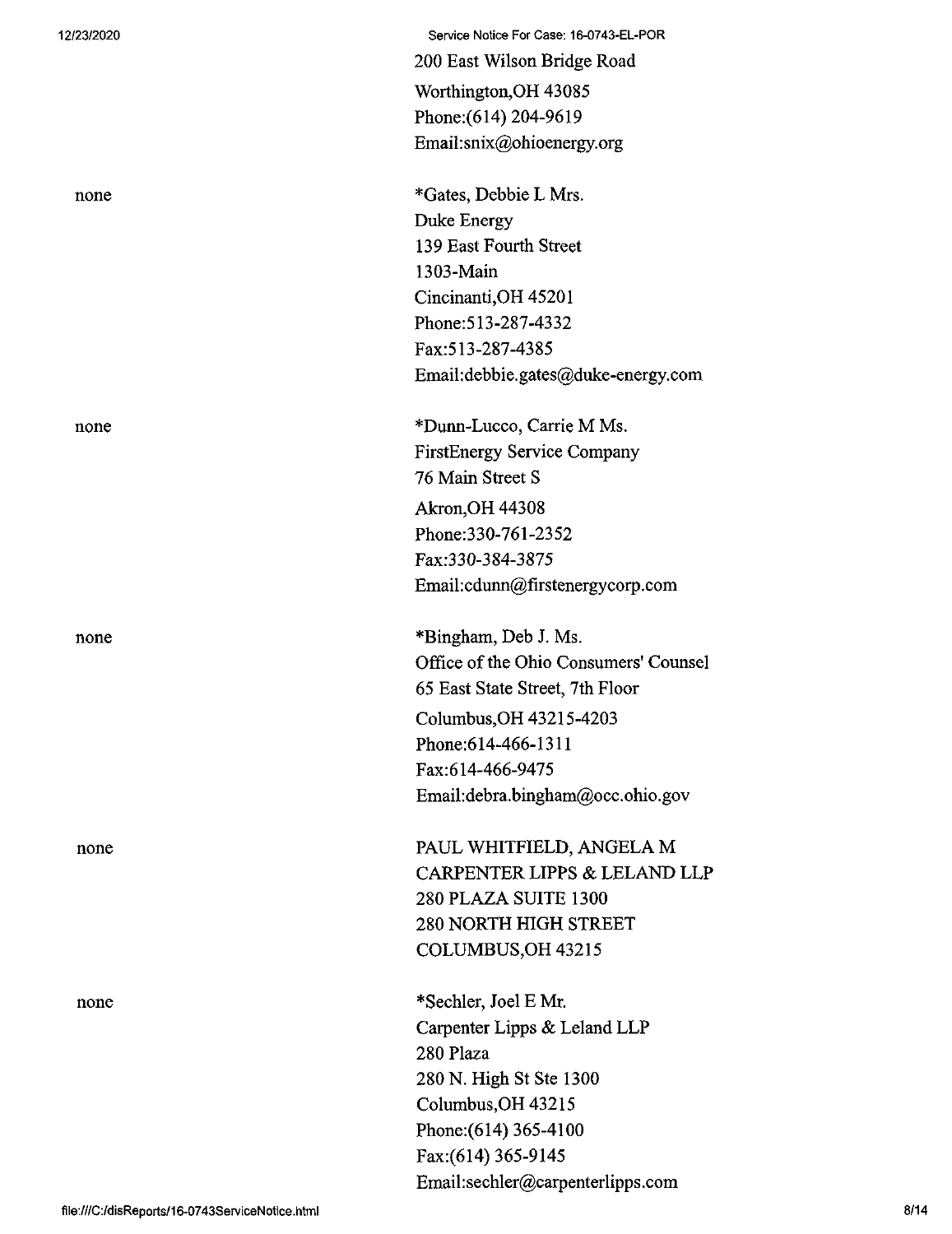| 12/23/2020 | Service Notice For Case: 16-0743-EL-POR |
|------------|-----------------------------------------|
|            | 200 East Wilson Bridge Road             |
|            | Worthington, OH 43085                   |
|            | Phone: (614) 204-9619                   |
|            | Email:snix@ohioenergy.org               |
|            |                                         |
| none       | *Gates, Debbie L Mrs.                   |
|            | Duke Energy                             |
|            | 139 East Fourth Street                  |
|            | 1303-Main                               |
|            | Cincinanti, OH 45201                    |
|            | Phone: 513-287-4332                     |
|            | Fax: 513-287-4385                       |
|            | Email:debbie.gates@duke-energy.com      |
| none       | *Dunn-Lucco, Carrie M Ms.               |
|            | <b>FirstEnergy Service Company</b>      |
|            | 76 Main Street S                        |
|            | <b>Akron, OH 44308</b>                  |
|            | Phone: 330-761-2352                     |
|            | Fax:330-384-3875                        |
|            | Email:cdunn@firstenergycorp.com         |
| none       | *Bingham, Deb J. Ms.                    |
|            | Office of the Ohio Consumers' Counsel   |
|            | 65 East State Street, 7th Floor         |
|            | Columbus, OH 43215-4203                 |
|            | Phone: 614-466-1311                     |
|            | Fax:614-466-9475                        |
|            | Email:debra.bingham@occ.ohio.gov        |
|            | PAUL WHITFIELD, ANGELA M                |
| none       | CARPENTER LIPPS & LELAND LLP            |
|            | 280 PLAZA SUITE 1300                    |
|            | <b>280 NORTH HIGH STREET</b>            |
|            | COLUMBUS, OH 43215                      |
|            |                                         |
| none       | *Sechler, Joel E Mr.                    |
|            | Carpenter Lipps & Leland LLP            |
|            | 280 Plaza                               |
|            | 280 N. High St Ste 1300                 |
|            | Columbus, OH 43215                      |
|            | Phone: (614) 365-4100                   |
|            | Fax: (614) 365-9145                     |
|            | Email:sechler@carpenterlipps.com        |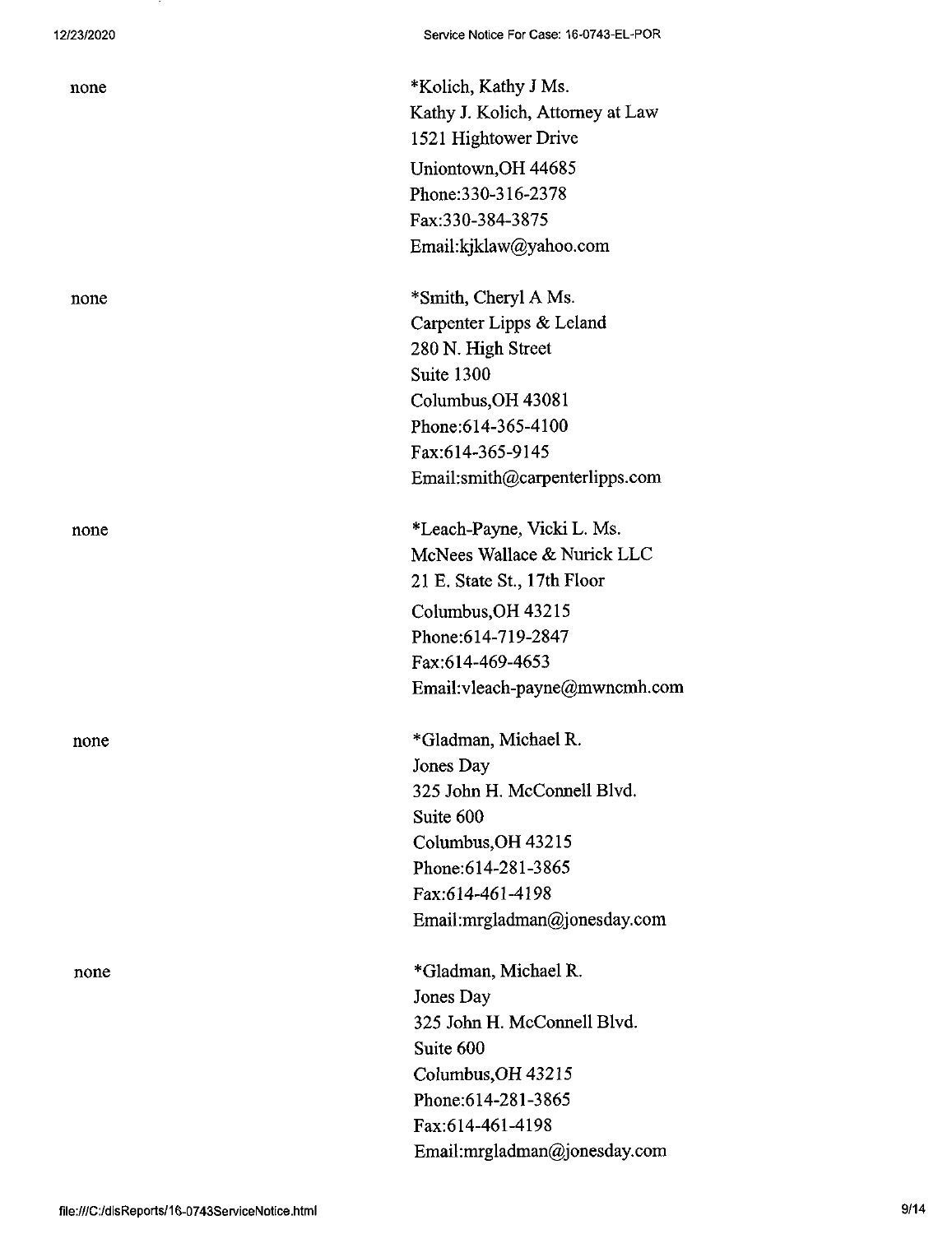none \*Kolich, Kathy J Ms. Kathy J. Kolich, Attorney at Law 1521 Hightower Drive Uniontown,OH 44685 Phone:330-316-2378 Fax:330-384-3875 Email:kjklaw@yahoo.com

none \*Smith, Cheryl A Ms. Carpenter Lipps & Leland 280 N. High Street Suite 1300 Columbus,OH 43081 Phone:614-365-4100 Fax:614-365-9145 Email:smith@carpenterlipps.com

none \*Leach-Payne, Vicki L. Ms. McNees Wallace & Nurick LLC 21 E. State St, 17th Floor Columbus,OH 43215 Phone:614-719-2847 Fax:614-469-4653 Email:vleach-payne@mwncmh.com

none \*Gladman, Michael R. Jones Day 325 John H. McConnell Blvd. Suite 600 Columbus,OH 43215 Phone:614-281-3865 Fax:614-461-4198 Email:mrgladman@jonesday.com

none \*Gladman, Michael R. Jones Day 325 John H. McConnell Blvd. Suite 600 Columbus,OH 43215 Phone:614-281-3865 Fax:614-461-4198 Email:mrgladman@jonesday.com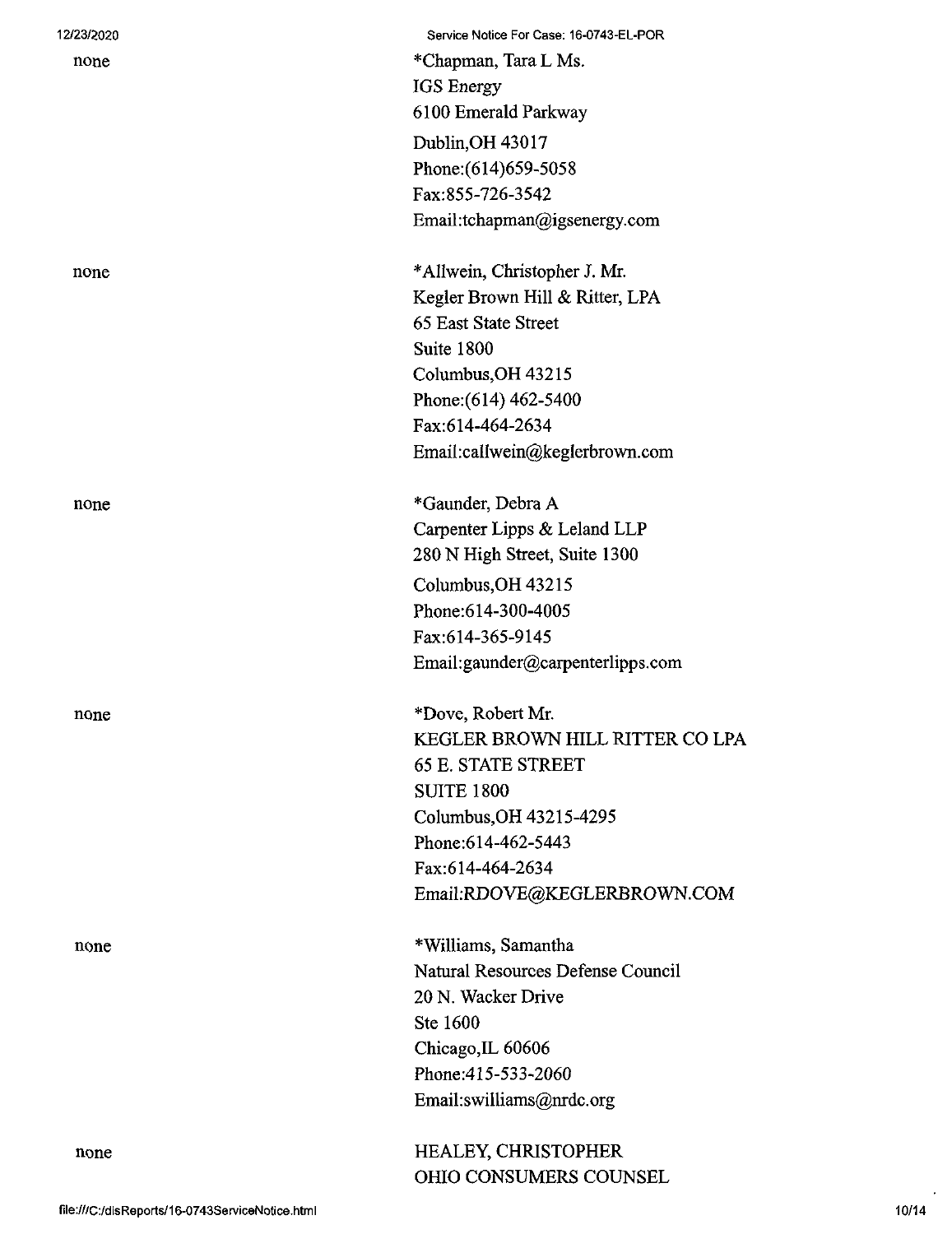| 12/23/2020 | Service Notice For Case: 16-0743-EL-POR |
|------------|-----------------------------------------|
| none       | *Chapman, Tara L Ms.                    |
|            | IGS Energy                              |
|            | 6100 Emerald Parkway                    |
|            | Dublin, OH 43017                        |
|            | Phone: (614) 659-5058                   |
|            | Fax:855-726-3542                        |
|            | Email:tchapman@igsenergy.com            |
| none       | *Allwein, Christopher J. Mr.            |
|            | Kegler Brown Hill & Ritter, LPA         |
|            | 65 East State Street                    |
|            | Suite 1800                              |
|            | Columbus, OH 43215                      |
|            | Phone: (614) 462-5400                   |
|            | Fax:614-464-2634                        |
|            | Email:callwein@keglerbrown.com          |
| none       | *Gaunder, Debra A                       |
|            | Carpenter Lipps & Leland LLP            |
|            | 280 N High Street, Suite 1300           |
|            | Columbus, OH 43215                      |
|            | Phone: 614-300-4005                     |
|            | Fax:614-365-9145                        |
|            | Email:gaunder@carpenterlipps.com        |
| none       | *Dove, Robert Mr.                       |
|            | KEGLER BROWN HILL RITTER CO LPA         |
|            | <b>65 E. STATE STREET</b>               |
|            | <b>SUITE 1800</b>                       |
|            | Columbus, OH 43215-4295                 |
|            | Phone: 614-462-5443                     |
|            | Fax:614-464-2634                        |
|            | Email:RDOVE@KEGLERBROWN.COM             |
| none       | *Williams, Samantha                     |
|            | Natural Resources Defense Council       |
|            | 20 N. Wacker Drive                      |
|            | Ste 1600                                |
|            | Chicago, IL 60606                       |
|            | Phone: 415-533-2060                     |
|            | Email:swilliams@nrdc.org                |
| none       | HEALEY, CHRISTOPHER                     |
|            | <b>OHIO CONSUMERS COUNSEL</b>           |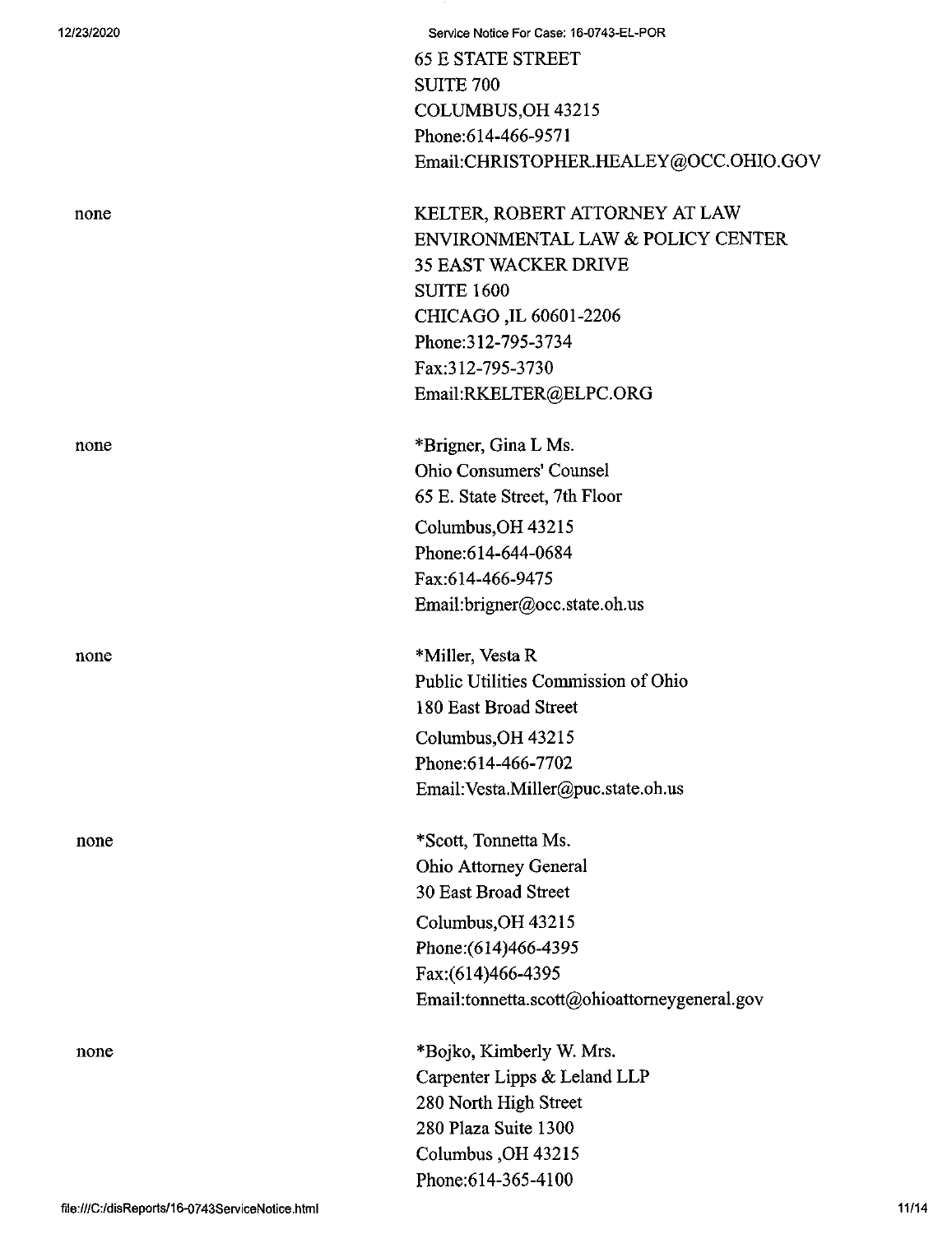|  |  | 12/23/2020 |  |  |
|--|--|------------|--|--|
|--|--|------------|--|--|

| v |
|---|
|---|

**12/23/2020 Service Notice For Case: 16-0743-EL-POR** 65 E STATE STREET SUITE 700 COLUMBUS,OH 43215 Phone:614-466-9571 Email:CHRISTOPHER.HEALEY@OCC.OHIO.GOV

KELTER, ROBERT ATTORNEY AT LAW ENVIRONMENTAL LAW & POLICY CENTER 35 EAST WACKER DRIVE SUITE 1600 CHICAGO ,IL 60601-2206 Phone:312-795-3734 Fax:312-795-3730 Email:RKELTER@ELPC.ORG

none \*Brigner, Gina L Ms. Ohio Consumers' Counsel 65 E. State Street, 7th Floor Columbus,OH 43215 Phone:614-644-0684 Fax:614-466-9475 Email:brigner@occ.state.oh.us

none \*Miller, Vesta R Public Utilities Commission of Ohio 180 East Broad Street Columbus,OH 43215 Phone:614-466-7702 Email:Vesta.Miller@puc.state.oh.us

none \*Scott, Tonnetta Ms. Ohio Attorney General 30 East Broad Street Columbus,OH 43215 Phone:(614)466-4395 Fax:(614)466-4395 Email:tonnetta.scott@ohioattomeygeneral.gov

none \*Bojko, Kimberly W. Mrs. Carpenter Lipps & Leland LLP 280 North High Street 280 Plaza Suite 1300 Columbus ,OH 43215 Phone:614-365-4100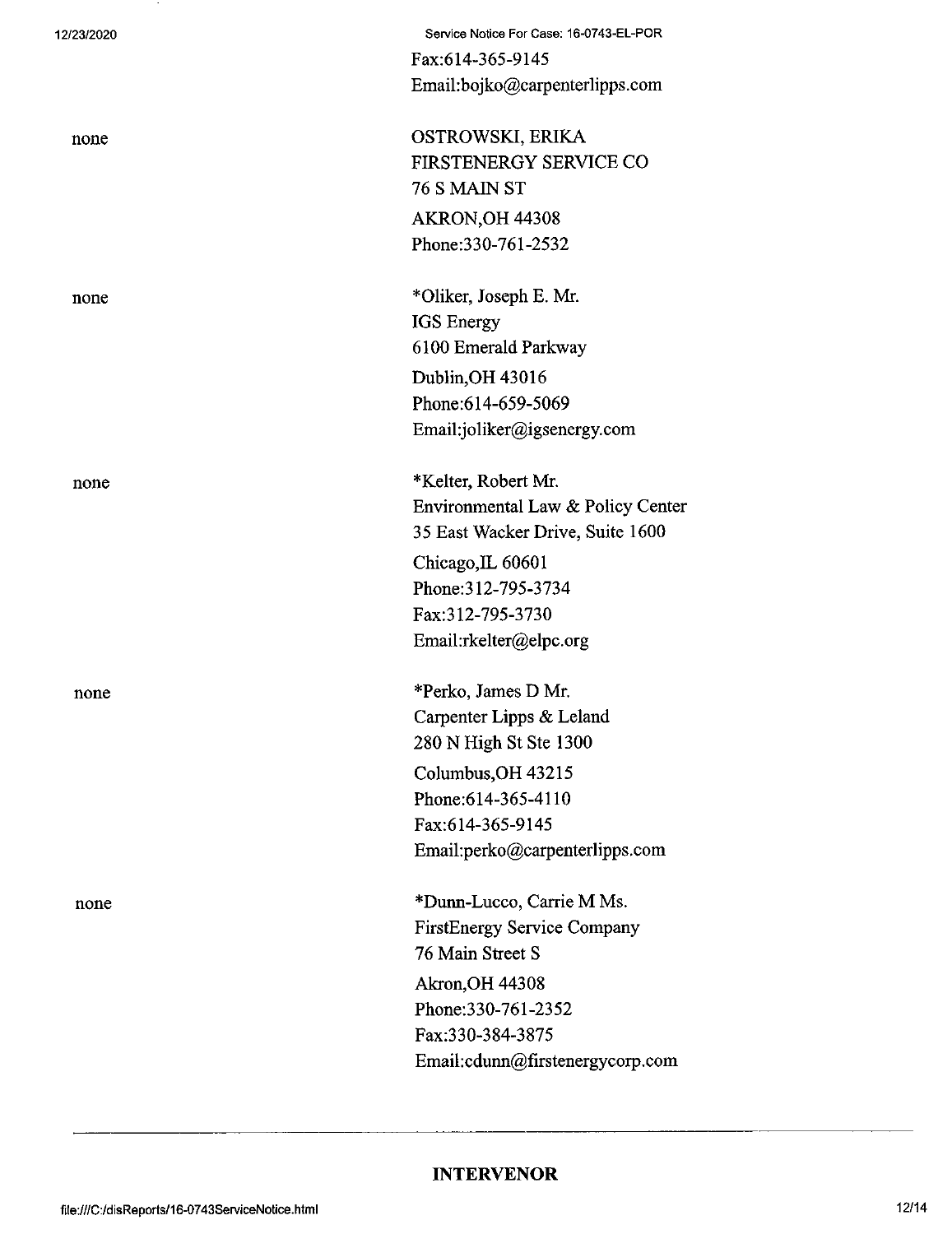none

none

none

12/23/2020 Service Notice For Case: 16-0743-EL-POR Fax:614-365-9145 Email:bojko@carpenterlipps.com

none OSTROWSKI, ERIKA FIRSTENERGY SERVICE CO 76 S MAIN ST AKRON,OH 44308 Phone:330-761-2532

none \*Oliker, Joseph E. Mr. IGS Energy 6100 Emerald Parkway Dublin,OH 43016 Phone:614-659-5069 Email:joliker@igsenergy.com

> \*Kelter, Robert Mr. Environmental Law & Policy Center 35 East Wacker Drive, Suite 1600 Chicago,IL 60601 Phone:312-795-3734 Fax:312-795-3730 Email:rkelter@elpc.org

\*Perko, James D Mr. Carpenter Lipps & Leland 280 N High St Ste 1300 Columbus,OH 43215 Phone:614-365-4110 Fax:614-365-9145 Email:perko@carpenterlipps.com

\*Dunn-Lucco, Carrie M Ms. FirstEnergy Service Company 76 Main Street S Akron,OH 44308 Phone:330-761-2352 Fax;330-384-3875 Email:cdunn@firstenergycorp.com

## **INTERVENOR**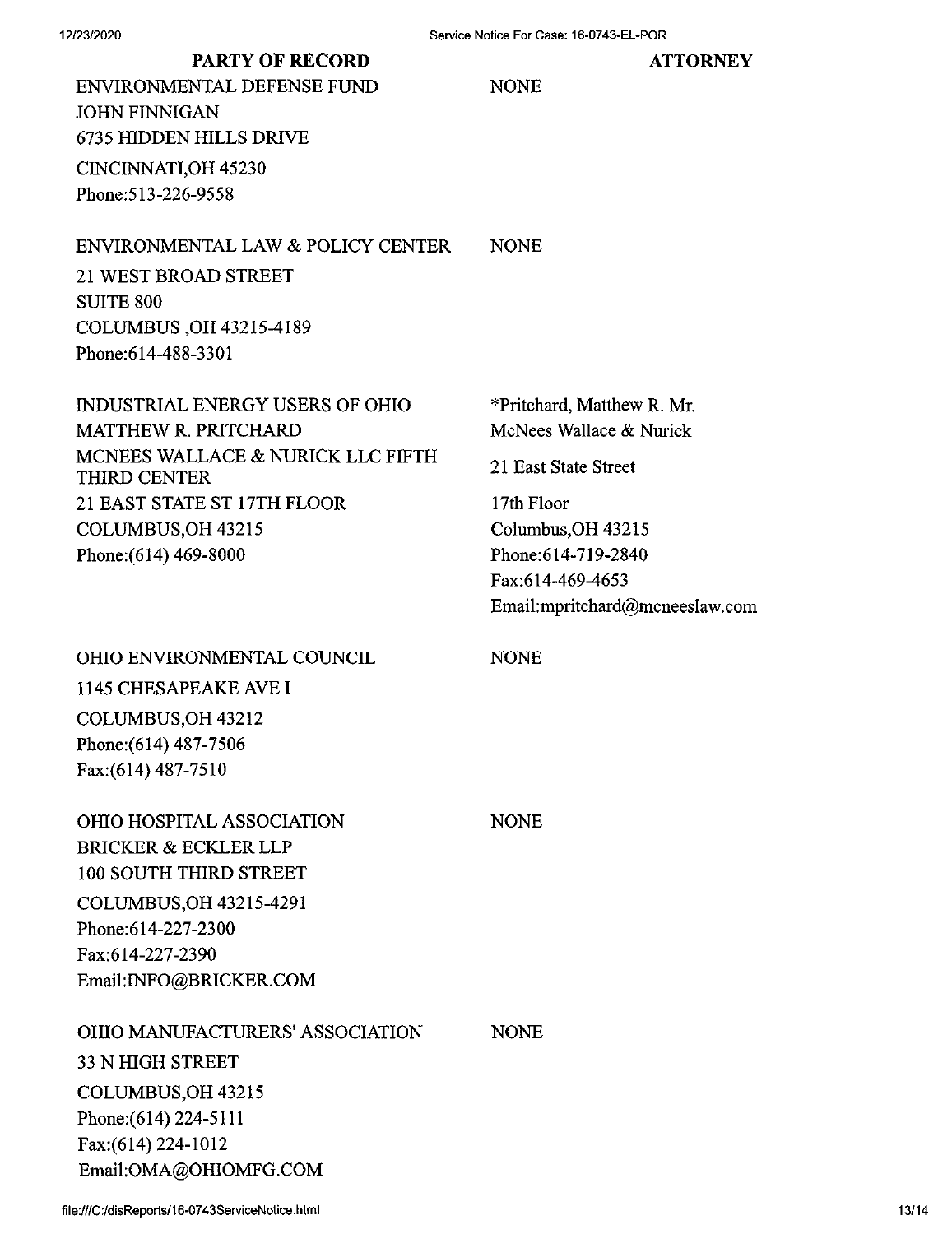**ATTORNEY**

# PARTY OF RECORD

| ENVIRONMENTAL DEFENSE FUND<br><b>JOHN FINNIGAN</b>       | <b>NONE</b>                    |
|----------------------------------------------------------|--------------------------------|
| <b>6735 HIDDEN HILLS DRIVE</b>                           |                                |
| CINCINNATI, OH 45230                                     |                                |
| Phone: 513-226-9558                                      |                                |
| ENVIRONMENTAL LAW & POLICY CENTER                        | <b>NONE</b>                    |
| 21 WEST BROAD STREET                                     |                                |
| <b>SUITE 800</b>                                         |                                |
| COLUMBUS, OH 43215-4189                                  |                                |
| Phone:614-488-3301                                       |                                |
| <b>INDUSTRIAL ENERGY USERS OF OHIO</b>                   | *Pritchard, Matthew R. Mr.     |
| <b>MATTHEW R. PRITCHARD</b>                              | McNees Wallace & Nurick        |
| MCNEES WALLACE & NURICK LLC FIFTH<br><b>THIRD CENTER</b> | 21 East State Street           |
| 21 EAST STATE ST 17TH FLOOR                              | 17th Floor                     |
| COLUMBUS, OH 43215                                       | Columbus, OH 43215             |
| Phone: (614) 469-8000                                    | Phone: 614-719-2840            |
|                                                          | Fax:614-469-4653               |
|                                                          | Email:mpritchard@mcneeslaw.com |
| OHIO ENVIRONMENTAL COUNCIL                               | <b>NONE</b>                    |
| 1145 CHESAPEAKE AVE I                                    |                                |
| COLUMBUS, OH 43212                                       |                                |
| Phone: (614) 487-7506                                    |                                |
| Fax: (614) 487-7510                                      |                                |
| OHIO HOSPITAL ASSOCIATION                                | <b>NONE</b>                    |
| <b>BRICKER &amp; ECKLER LLP</b>                          |                                |
| 100 SOUTH THIRD STREET                                   |                                |
| COLUMBUS, OH 43215-4291                                  |                                |
| Phone: 614-227-2300                                      |                                |
| Fax:614-227-2390                                         |                                |
| Email: INFO@BRICKER.COM                                  |                                |
| <b>OHIO MANUFACTURERS' ASSOCIATION</b>                   | <b>NONE</b>                    |
| <b>33 N HIGH STREET</b>                                  |                                |
| COLUMBUS, OH 43215                                       |                                |

file:///C:/disReports/16-0743ServiceNotice.html 13/14

Email:OMA@OHIOMFG.COM

Phone:(614) 224-5111 Fax:(614) 224-1012